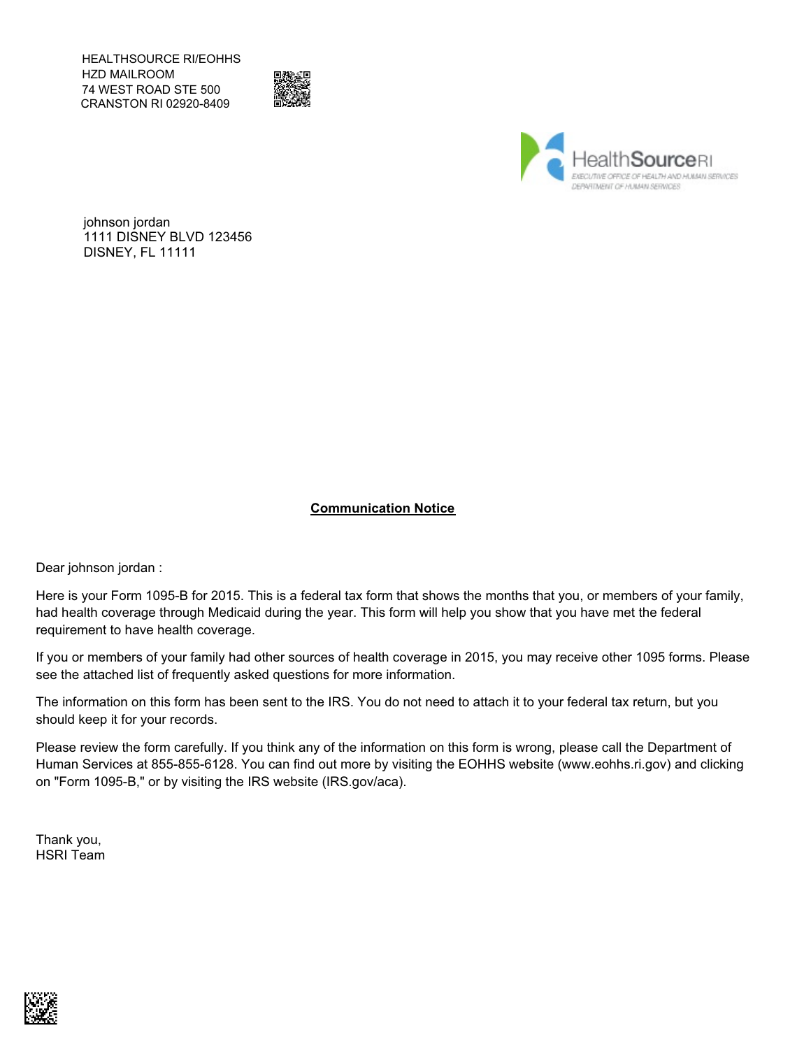HEALTHSOURCE RI/EOHHS HZD MAILROOM 74 WEST ROAD STE 500 CRANSTON RI 02920-8409





johnson jordan 1111 DISNEY BLVD 123456 DISNEY, FL 11111

### **Communication Notice**

Dear johnson jordan :

Here is your Form 1095-B for 2015. This is a federal tax form that shows the months that you, or members of your family, had health coverage through Medicaid during the year. This form will help you show that you have met the federal requirement to have health coverage.

If you or members of your family had other sources of health coverage in 2015, you may receive other 1095 forms. Please see the attached list of frequently asked questions for more information.

The information on this form has been sent to the IRS. You do not need to attach it to your federal tax return, but you should keep it for your records.

Please review the form carefully. If you think any of the information on this form is wrong, please call the Department of Human Services at 855-855-6128. You can find out more by visiting the EOHHS website (www.eohhs.ri.gov) and clicking on "Form 1095-B," or by visiting the IRS website (IRS.gov/aca).

Thank you, HSRI Team

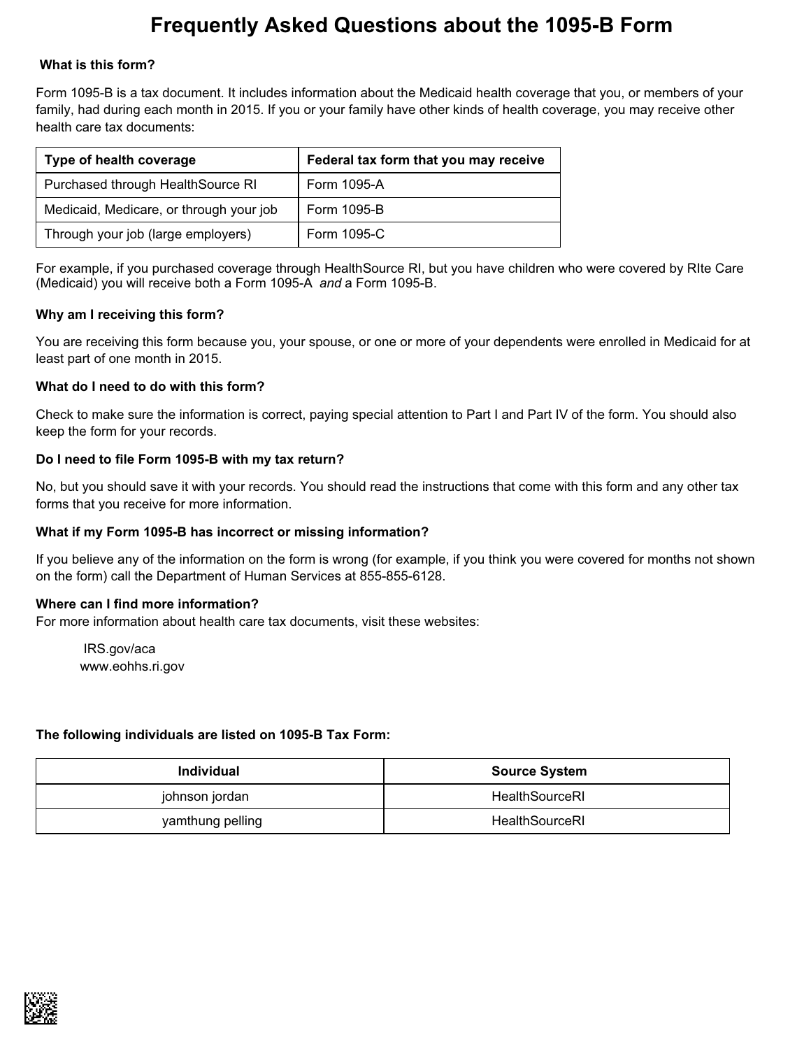# **Frequently Asked Questions about the 1095-B Form**

### **What is this form?**

Form 1095-B is a tax document. It includes information about the Medicaid health coverage that you, or members of your family, had during each month in 2015. If you or your family have other kinds of health coverage, you may receive other health care tax documents:

| Type of health coverage                 | Federal tax form that you may receive |  |  |  |  |  |  |  |
|-----------------------------------------|---------------------------------------|--|--|--|--|--|--|--|
| Purchased through HealthSource RI       | Form 1095-A                           |  |  |  |  |  |  |  |
| Medicaid, Medicare, or through your job | Form 1095-B                           |  |  |  |  |  |  |  |
| Through your job (large employers)      | Form 1095-C                           |  |  |  |  |  |  |  |

For example, if you purchased coverage through HealthSource RI, but you have children who were covered by RIte Care (Medicaid) you will receive both a Form 1095-A *and* a Form 1095-B.

### **Why am I receiving this form?**

You are receiving this form because you, your spouse, or one or more of your dependents were enrolled in Medicaid for at least part of one month in 2015.

### **What do I need to do with this form?**

Check to make sure the information is correct, paying special attention to Part I and Part IV of the form. You should also keep the form for your records.

### **Do I need to file Form 1095-B with my tax return?**

No, but you should save it with your records. You should read the instructions that come with this form and any other tax forms that you receive for more information.

### **What if my Form 1095-B has incorrect or missing information?**

If you believe any of the information on the form is wrong (for example, if you think you were covered for months not shown on the form) call the Department of Human Services at 855-855-6128.

#### **Where can I find more information?**

For more information about health care tax documents, visit these websites:

IRS.gov/aca www.eohhs.ri.gov

### **The following individuals are listed on 1095-B Tax Form:**

| <b>Individual</b> | <b>Source System</b> |
|-------------------|----------------------|
| johnson jordan    | HealthSourceRI       |
| yamthung pelling  | HealthSourceRI       |

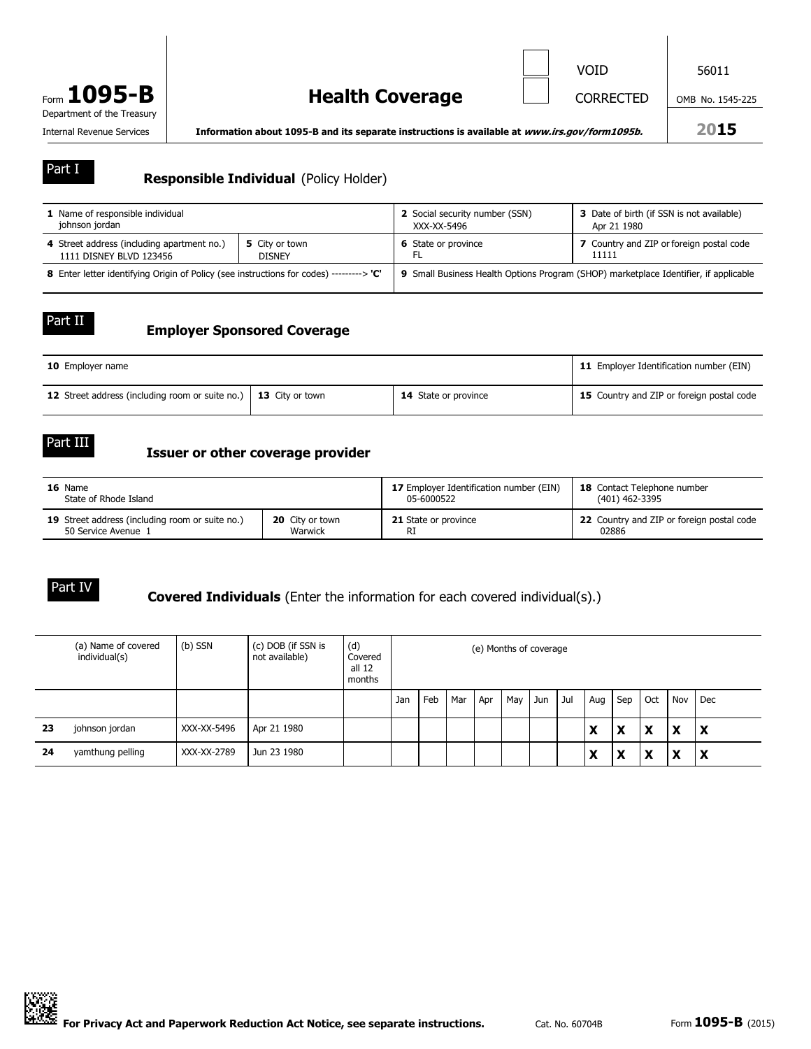

Internal Revenue Services **Information about 1095-B and its separate instructions is available at** *www.irs.gov/form1095b.* **2015**

### **Responsible Individual** (Policy Holder)

| 1 Name of responsible individual                                                       |                | 2 Social security number (SSN)                                                       | 3 Date of birth (if SSN is not available) |  |  |  |  |
|----------------------------------------------------------------------------------------|----------------|--------------------------------------------------------------------------------------|-------------------------------------------|--|--|--|--|
| johnson jordan                                                                         |                | XXX-XX-5496                                                                          | Apr 21 1980                               |  |  |  |  |
| 4 Street address (including apartment no.)                                             | 5 City or town | <b>6</b> State or province                                                           | 7 Country and ZIP or foreign postal code  |  |  |  |  |
| 1111 DISNEY BLVD 123456                                                                | <b>DISNEY</b>  |                                                                                      | 11111                                     |  |  |  |  |
| 8 Enter letter identifying Origin of Policy (see instructions for codes) --------> 'C' |                | 9 Small Business Health Options Program (SHOP) marketplace Identifier, if applicable |                                           |  |  |  |  |

#### Part II

Part I

### **Employer Sponsored Coverage**

| <b>10</b> Employer name                                         | 11 Employer Identification number (EIN) |                             |                                           |  |
|-----------------------------------------------------------------|-----------------------------------------|-----------------------------|-------------------------------------------|--|
| 12 Street address (including room or suite no.) 13 City or town |                                         | <b>14</b> State or province | 15 Country and ZIP or foreign postal code |  |

Part III

### **Issuer or other coverage provider**

| 16 Name                                         |                        | 17 Employer Identification number (EIN) | <b>18</b> Contact Telephone number        |  |  |  |
|-------------------------------------------------|------------------------|-----------------------------------------|-------------------------------------------|--|--|--|
| State of Rhode Island                           |                        | 05-6000522                              | (401) 462-3395                            |  |  |  |
| 19 Street address (including room or suite no.) | <b>20</b> City or town | <b>21</b> State or province             | 22 Country and ZIP or foreign postal code |  |  |  |
| 50 Service Avenue 1                             | Warwick                | RI                                      | 02886                                     |  |  |  |

### Part IV

### **Covered Individuals** (Enter the information for each covered individual(s).)

|    | (a) Name of covered<br>individual(s) | (b) SSN     | (c) DOB (if SSN is<br>not available) | (d)<br>Covered<br>all 12<br>months | (e) Months of coverage |     |     |     |     |     |     |        |        |     |     |     |
|----|--------------------------------------|-------------|--------------------------------------|------------------------------------|------------------------|-----|-----|-----|-----|-----|-----|--------|--------|-----|-----|-----|
|    |                                      |             |                                      |                                    | Jan                    | Feb | Mar | Apr | May | Jun | Jul | Aug    | Sep    | Oct | Nov | Dec |
| 23 | johnson jordan                       | XXX-XX-5496 | Apr 21 1980                          |                                    |                        |     |     |     |     |     |     | X      | x      | x   | X   | l X |
| 24 | yamthung pelling                     | XXX-XX-2789 | Jun 23 1980                          |                                    |                        |     |     |     |     |     |     | v<br>Х | v<br>ж | x   | X   | l X |